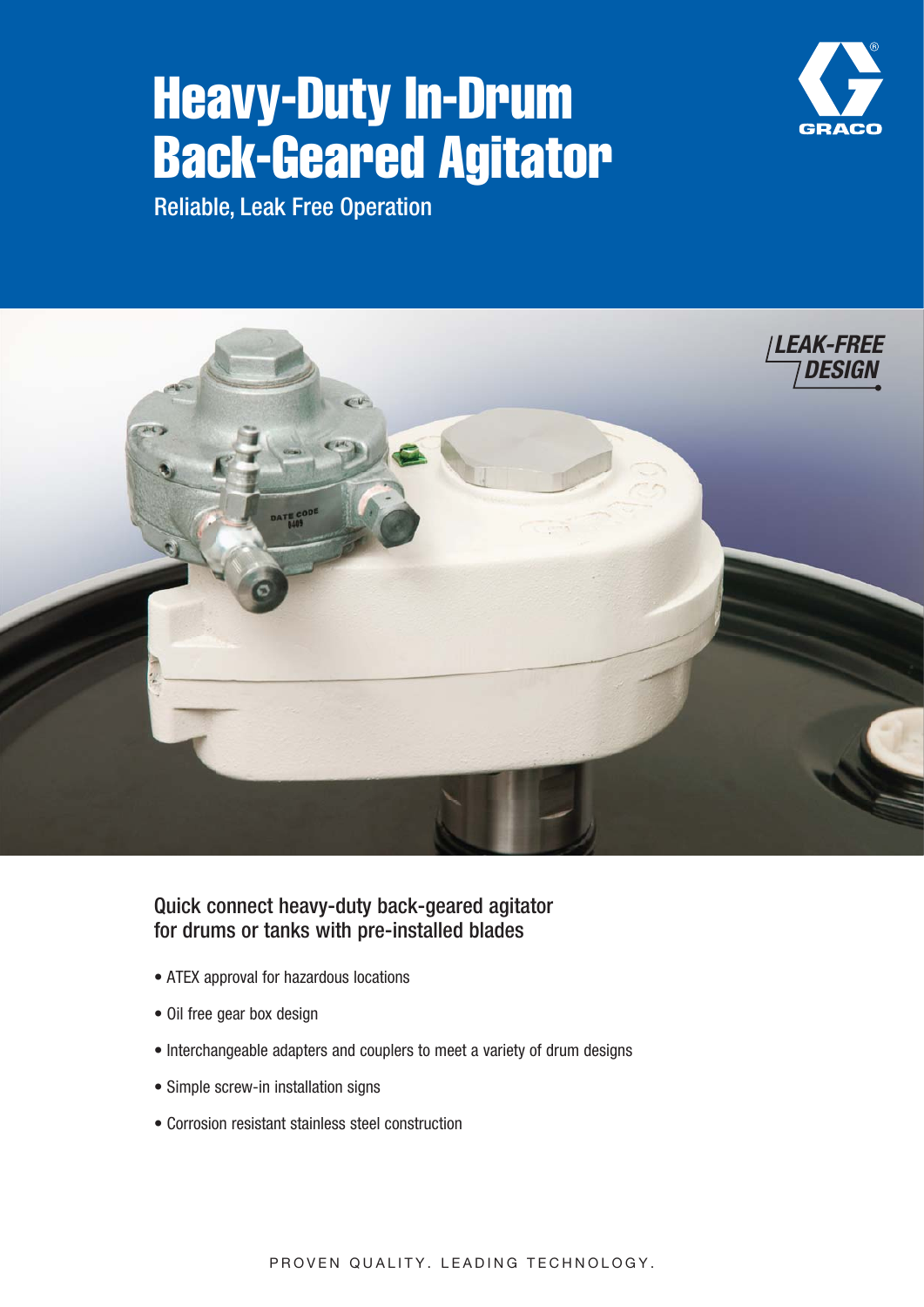# Heavy-Duty In-Drum Back-Geared Agitator



Reliable, Leak Free Operation



#### Quick connect heavy-duty back-geared agitator for drums or tanks with pre-installed blades

- ATEX approval for hazardous locations
- Oil free gear box design
- Interchangeable adapters and couplers to meet a variety of drum designs
- Simple screw-in installation signs
- Corrosion resistant stainless steel construction